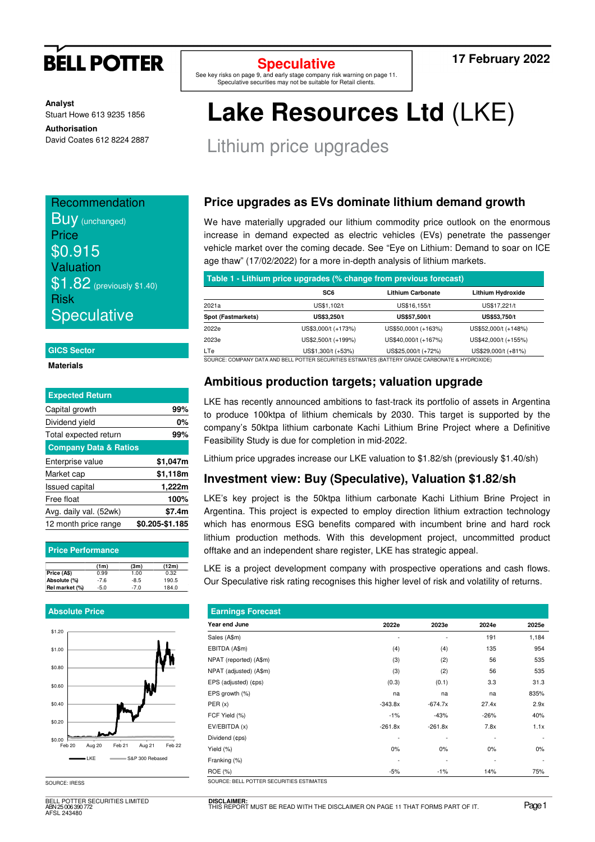

**Analyst** Stuart Howe 613 9235 1856

**Authorisation**  David Coates 612 8224 2887

**Recommendation Buy** (unchanged) **Price** \$0.915 Valuation **\$1.82** (previously \$1.40) Risk **Speculative** 

### **GICS Sector**

### **Materials**

| <b>Expected Return</b>           |                 |
|----------------------------------|-----------------|
| Capital growth                   | 99%             |
| Dividend yield                   | 0%              |
| Total expected return            | 99%             |
| <b>Company Data &amp; Ratios</b> |                 |
| Enterprise value                 | \$1,047m        |
| Market cap                       | \$1,118m        |
| <b>Issued capital</b>            | 1,222m          |
| Free float                       | 100%            |
| Avg. daily val. (52wk)           | \$7.4m          |
| 12 month price range             | \$0.205-\$1.185 |

| <b>Price Performance</b> |        |        |       |  |  |  |  |
|--------------------------|--------|--------|-------|--|--|--|--|
|                          | (1m)   | (3m)   | (12m) |  |  |  |  |
| Price (A\$)              | 0.99   | 1.00   | 0.32  |  |  |  |  |
| Absolute (%)             | $-7.6$ | $-8.5$ | 190.5 |  |  |  |  |
| Rel market (%)           | $-5.0$ | $-7.0$ | 184.0 |  |  |  |  |

### **Absolute Price**



SOURCE: IRESS

BELL POTTER SECURITIES LIMITED ABN 25 006 390 772 AFSL 243480

**Speculative** 

See key risks on page 9, and early stage company risk warning on page 11. Speculative securities may not be suitable for Retail clients.

### **17 February 2022**

# **Lake Resources Ltd** (LKE)

Lithium price upgrades

## **Price upgrades as EVs dominate lithium demand growth**

We have materially upgraded our lithium commodity price outlook on the enormous increase in demand expected as electric vehicles (EVs) penetrate the passenger vehicle market over the coming decade. See "Eye on Lithium: Demand to soar on ICE age thaw" (17/02/2022) for a more in-depth analysis of lithium markets.

| Table 1 - Lithium price upgrades (% change from previous forecast)                              |                     |                          |                      |  |  |  |  |
|-------------------------------------------------------------------------------------------------|---------------------|--------------------------|----------------------|--|--|--|--|
|                                                                                                 | SC <sub>6</sub>     | <b>Lithium Carbonate</b> | Lithium Hydroxide    |  |  |  |  |
| 2021a                                                                                           | US\$1,102/t         | US\$16,155/t             | US\$17,221/t         |  |  |  |  |
| Spot (Fastmarkets)                                                                              | US\$3,250/t         | US\$57,500/t             | US\$53,750/t         |  |  |  |  |
| 2022e                                                                                           | US\$3,000/t (+173%) | US\$50,000/t (+163%)     | US\$52,000/t (+148%) |  |  |  |  |
| 2023e                                                                                           | US\$2,500/t (+199%) | US\$40,000/t (+167%)     | US\$42,000/t (+155%) |  |  |  |  |
| LTe                                                                                             | US\$1,300/t (+53%)  | US\$25,000/t (+72%)      | US\$29,000/t (+81%)  |  |  |  |  |
| SOURCE: COMPANY DATA AND BELL POTTER SECURITIES ESTIMATES (BATTERY GRADE CARBONATE & HYDROXIDE) |                     |                          |                      |  |  |  |  |

### **Ambitious production targets; valuation upgrade**

LKE has recently announced ambitions to fast-track its portfolio of assets in Argentina to produce 100ktpa of lithium chemicals by 2030. This target is supported by the company's 50ktpa lithium carbonate Kachi Lithium Brine Project where a Definitive Feasibility Study is due for completion in mid-2022.

Lithium price upgrades increase our LKE valuation to \$1.82/sh (previously \$1.40/sh)

### **Investment view: Buy (Speculative), Valuation \$1.82/sh**

LKE's key project is the 50ktpa lithium carbonate Kachi Lithium Brine Project in Argentina. This project is expected to employ direction lithium extraction technology which has enormous ESG benefits compared with incumbent brine and hard rock lithium production methods. With this development project, uncommitted product offtake and an independent share register, LKE has strategic appeal.

LKE is a project development company with prospective operations and cash flows. Our Speculative risk rating recognises this higher level of risk and volatility of returns.

| <b>Earnings Forecast</b>                 |           |                          |        |                          |  |  |  |  |  |
|------------------------------------------|-----------|--------------------------|--------|--------------------------|--|--|--|--|--|
| Year end June                            | 2022e     | 2023e                    | 2024e  | 2025e                    |  |  |  |  |  |
| Sales (A\$m)                             |           | $\overline{\phantom{0}}$ | 191    | 1,184                    |  |  |  |  |  |
| EBITDA (A\$m)                            | (4)       | (4)                      | 135    | 954                      |  |  |  |  |  |
| NPAT (reported) (A\$m)                   | (3)       | (2)                      | 56     | 535                      |  |  |  |  |  |
| NPAT (adjusted) (A\$m)                   | (3)       | (2)                      | 56     | 535                      |  |  |  |  |  |
| EPS (adjusted) (¢ps)                     | (0.3)     | (0.1)                    | 3.3    | 31.3                     |  |  |  |  |  |
| EPS growth (%)                           | na        | na                       | na     | 835%                     |  |  |  |  |  |
| PER(x)                                   | $-343.8x$ | $-674.7x$                | 27.4x  | 2.9x                     |  |  |  |  |  |
| FCF Yield (%)                            | $-1%$     | $-43%$                   | $-26%$ | 40%                      |  |  |  |  |  |
| EV/EBITDA (x)                            | $-261.8x$ | $-261.8x$                | 7.8x   | 1.1x                     |  |  |  |  |  |
| Dividend (¢ps)                           | ٠         | $\overline{\phantom{m}}$ |        | $\overline{\phantom{a}}$ |  |  |  |  |  |
| Yield (%)                                | 0%        | 0%                       | 0%     | $0\%$                    |  |  |  |  |  |
| Franking (%)                             | ٠         | $\overline{\phantom{a}}$ |        |                          |  |  |  |  |  |
| ROE (%)                                  | $-5%$     | $-1%$                    | 14%    | 75%                      |  |  |  |  |  |
| SOURCE: BELL POTTER SECURITIES ESTIMATES |           |                          |        |                          |  |  |  |  |  |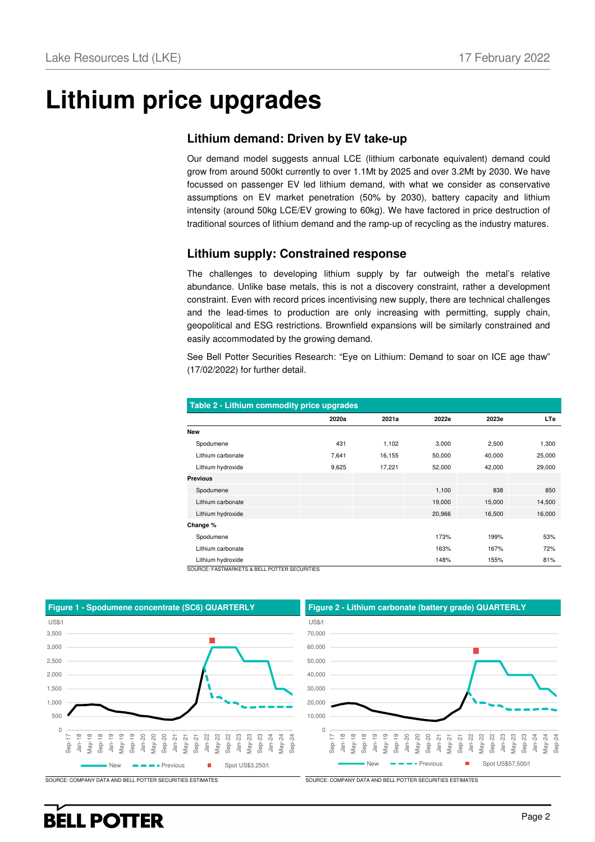# **Lithium price upgrades**

### **Lithium demand: Driven by EV take-up**

Our demand model suggests annual LCE (lithium carbonate equivalent) demand could grow from around 500kt currently to over 1.1Mt by 2025 and over 3.2Mt by 2030. We have focussed on passenger EV led lithium demand, with what we consider as conservative assumptions on EV market penetration (50% by 2030), battery capacity and lithium intensity (around 50kg LCE/EV growing to 60kg). We have factored in price destruction of traditional sources of lithium demand and the ramp-up of recycling as the industry matures.

### **Lithium supply: Constrained response**

The challenges to developing lithium supply by far outweigh the metal's relative abundance. Unlike base metals, this is not a discovery constraint, rather a development constraint. Even with record prices incentivising new supply, there are technical challenges and the lead-times to production are only increasing with permitting, supply chain, geopolitical and ESG restrictions. Brownfield expansions will be similarly constrained and easily accommodated by the growing demand.

See Bell Potter Securities Research: "Eye on Lithium: Demand to soar on ICE age thaw" (17/02/2022) for further detail.

| Table 2 - Lithium commodity price upgrades                         |       |        |        |        |            |  |  |  |  |
|--------------------------------------------------------------------|-------|--------|--------|--------|------------|--|--|--|--|
|                                                                    | 2020a | 2021a  | 2022e  | 2023e  | <b>LTe</b> |  |  |  |  |
| <b>New</b>                                                         |       |        |        |        |            |  |  |  |  |
| Spodumene                                                          | 431   | 1,102  | 3,000  | 2,500  | 1,300      |  |  |  |  |
| Lithium carbonate                                                  | 7,641 | 16,155 | 50,000 | 40,000 | 25,000     |  |  |  |  |
| Lithium hydroxide                                                  | 9,625 | 17,221 | 52,000 | 42,000 | 29,000     |  |  |  |  |
| <b>Previous</b>                                                    |       |        |        |        |            |  |  |  |  |
| Spodumene                                                          |       |        | 1,100  | 838    | 850        |  |  |  |  |
| Lithium carbonate                                                  |       |        | 19,000 | 15,000 | 14,500     |  |  |  |  |
| Lithium hydroxide                                                  |       |        | 20,966 | 16,500 | 16,000     |  |  |  |  |
| Change %                                                           |       |        |        |        |            |  |  |  |  |
| Spodumene                                                          |       |        | 173%   | 199%   | 53%        |  |  |  |  |
| Lithium carbonate                                                  |       |        | 163%   | 167%   | 72%        |  |  |  |  |
| Lithium hydroxide<br>COLIDOE: EACTMADKETS & RELL DOTTED SECURITIES |       |        | 148%   | 155%   | 81%        |  |  |  |  |



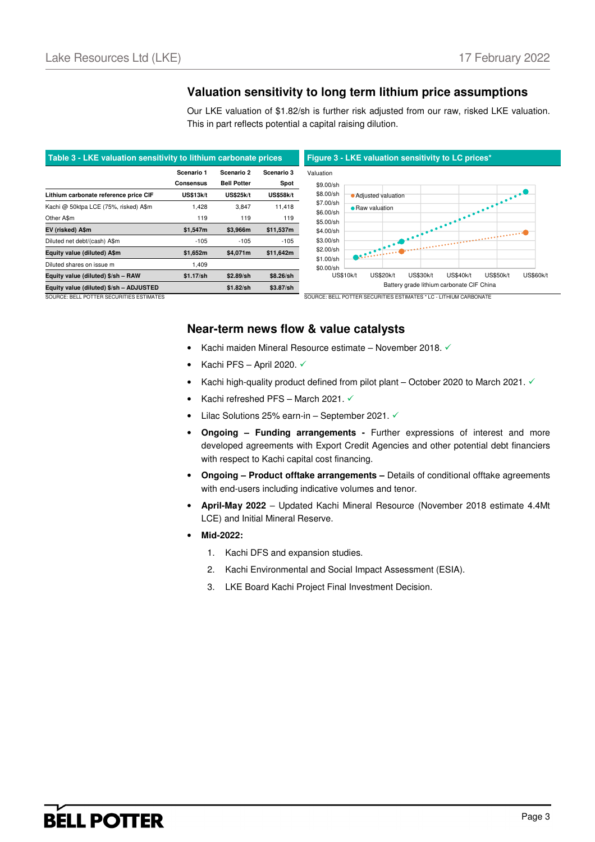### **Valuation sensitivity to long term lithium price assumptions**

Our LKE valuation of \$1.82/sh is further risk adjusted from our raw, risked LKE valuation. This in part reflects potential a capital raising dilution.



SOURCE: BELL POTTER SECURITIES ESTIMATES SOURCE: BELL POTTER SECURITIES ESTIMATES \* LC - LITHIUM CARBONATI

### **Near-term news flow & value catalysts**

- Kachi maiden Mineral Resource estimate November 2018.
- Kachi PFS April 2020.  $\checkmark$
- Kachi high-quality product defined from pilot plant October 2020 to March 2021.  $\checkmark$
- Kachi refreshed PFS March 2021.  $\checkmark$
- Lilac Solutions 25% earn-in September 2021.  $\checkmark$
- **Ongoing – Funding arrangements -** Further expressions of interest and more developed agreements with Export Credit Agencies and other potential debt financiers with respect to Kachi capital cost financing.
- **Ongoing Product offtake arrangements –** Details of conditional offtake agreements with end-users including indicative volumes and tenor.
- **April-May 2022** Updated Kachi Mineral Resource (November 2018 estimate 4.4Mt LCE) and Initial Mineral Reserve.
- **Mid-2022:** 
	- 1. Kachi DFS and expansion studies.
	- 2. Kachi Environmental and Social Impact Assessment (ESIA).
	- 3. LKE Board Kachi Project Final Investment Decision.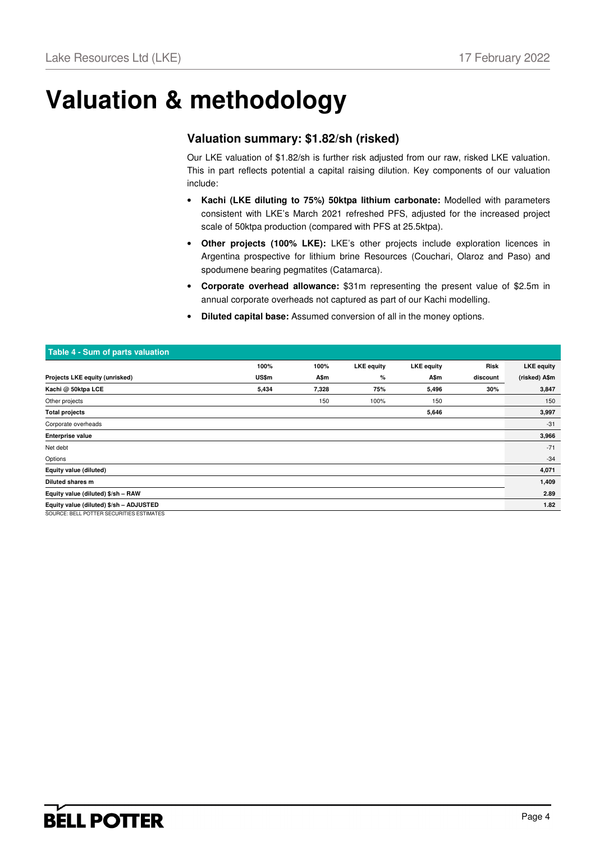# **Valuation & methodology**

## **Valuation summary: \$1.82/sh (risked)**

Our LKE valuation of \$1.82/sh is further risk adjusted from our raw, risked LKE valuation. This in part reflects potential a capital raising dilution. Key components of our valuation include:

- **Kachi (LKE diluting to 75%) 50ktpa lithium carbonate:** Modelled with parameters consistent with LKE's March 2021 refreshed PFS, adjusted for the increased project scale of 50ktpa production (compared with PFS at 25.5ktpa).
- **Other projects (100% LKE):** LKE's other projects include exploration licences in Argentina prospective for lithium brine Resources (Couchari, Olaroz and Paso) and spodumene bearing pegmatites (Catamarca).
- **Corporate overhead allowance:** \$31m representing the present value of \$2.5m in annual corporate overheads not captured as part of our Kachi modelling.
- **Diluted capital base:** Assumed conversion of all in the money options.

| Table 4 - Sum of parts valuation         |       |       |                   |                   |          |                   |
|------------------------------------------|-------|-------|-------------------|-------------------|----------|-------------------|
|                                          | 100%  | 100%  | <b>LKE</b> equity | <b>LKE</b> equity | Risk     | <b>LKE</b> equity |
| Projects LKE equity (unrisked)           | US\$m | A\$m  | %                 | A\$m              | discount | (risked) A\$m     |
| Kachi @ 50ktpa LCE                       | 5,434 | 7,328 | 75%               | 5,496             | 30%      | 3,847             |
| Other projects                           |       | 150   | 100%              | 150               |          | 150               |
| <b>Total projects</b>                    |       |       |                   | 5,646             |          | 3,997             |
| Corporate overheads                      |       |       |                   |                   |          | $-31$             |
| <b>Enterprise value</b>                  |       |       |                   |                   |          | 3,966             |
| Net debt                                 |       |       |                   |                   |          | $-71$             |
| Options                                  |       |       |                   |                   |          | $-34$             |
| Equity value (diluted)                   |       |       |                   |                   |          | 4,071             |
| Diluted shares m                         |       |       |                   |                   |          | 1,409             |
| Equity value (diluted) \$/sh - RAW       |       |       |                   |                   |          | 2.89              |
| Equity value (diluted) \$/sh - ADJUSTED  |       |       |                   |                   |          | 1.82              |
| SOURCE: BELL POTTER SECURITIES ESTIMATES |       |       |                   |                   |          |                   |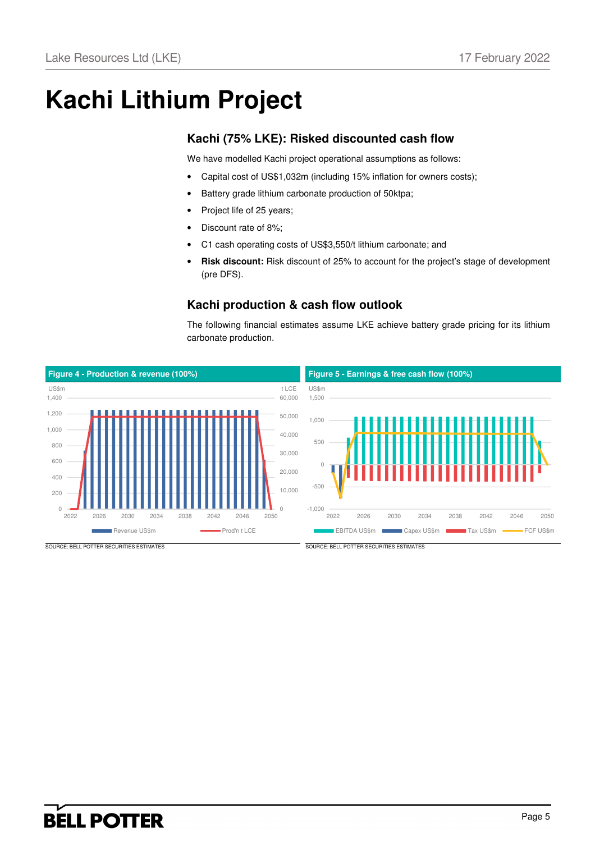# **Kachi Lithium Project**

## **Kachi (75% LKE): Risked discounted cash flow**

We have modelled Kachi project operational assumptions as follows:

- Capital cost of US\$1,032m (including 15% inflation for owners costs);
- Battery grade lithium carbonate production of 50ktpa;
- Project life of 25 years;
- Discount rate of 8%:
- C1 cash operating costs of US\$3,550/t lithium carbonate; and
- **Risk discount:** Risk discount of 25% to account for the project's stage of development (pre DFS).

## **Kachi production & cash flow outlook**

The following financial estimates assume LKE achieve battery grade pricing for its lithium carbonate production.

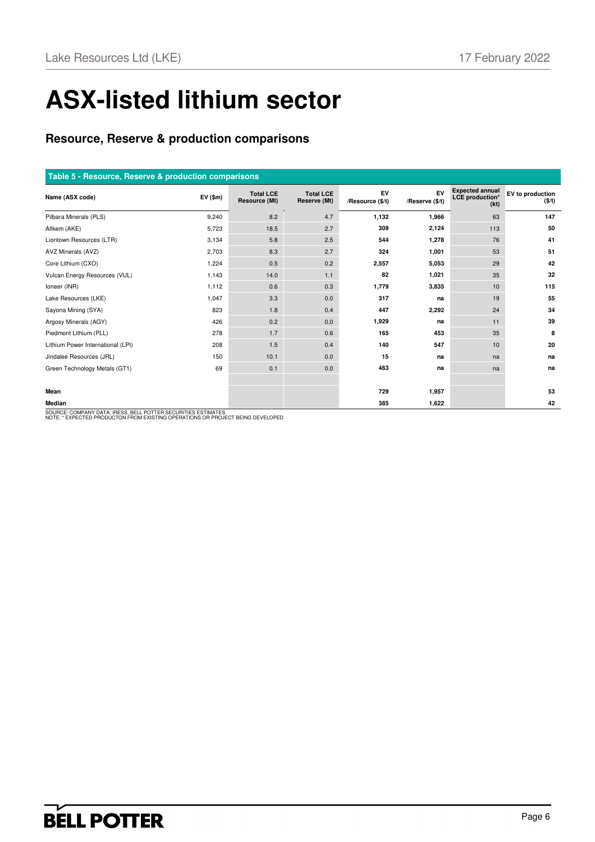# **ASX-listed lithium sector**

## **Resource, Reserve & production comparisons**

| Table 5 - Resource, Reserve & production comparisons |                              |                                   |                                  |                        |                       |                                                          |                            |  |  |
|------------------------------------------------------|------------------------------|-----------------------------------|----------------------------------|------------------------|-----------------------|----------------------------------------------------------|----------------------------|--|--|
| Name (ASX code)                                      | $EV($ \$m $)$                | <b>Total LCE</b><br>Resource (Mt) | <b>Total LCE</b><br>Reserve (Mt) | EV<br>/Resource (\$/t) | EV<br>/Reserve (\$/t) | <b>Expected annual</b><br><b>LCE</b> production*<br>(kt) | EV to production<br>(\$/t) |  |  |
| Pilbara Minerals (PLS)                               | 9,240                        | 8.2                               | 4.7                              | 1,132                  | 1,966                 | 63                                                       | 147                        |  |  |
| Allkem (AKE)                                         | 5,723                        | 18.5                              | 2.7                              | 309                    | 2,124                 | 113                                                      | 50                         |  |  |
| Liontown Resources (LTR)                             | 3,134                        | 5.8                               | 2.5                              | 544                    | 1,278                 | 76                                                       | 41                         |  |  |
| AVZ Minerals (AVZ)                                   | 2,703                        | 8.3                               | 2.7                              | 324                    | 1,001                 | 53                                                       | 51                         |  |  |
| Core Lithium (CXO)                                   | 1,224                        | 0.5                               | 0.2                              | 2,557                  | 5,053                 | 29                                                       | 42                         |  |  |
| Vulcan Energy Resources (VUL)                        | 1,143                        | 14.0                              | 1.1                              | 82                     | 1,021                 | 35                                                       | 32                         |  |  |
| Ioneer (INR)                                         | 1,112                        | 0.6                               | 0.3                              | 1,779                  | 3,835                 | 10                                                       | 115                        |  |  |
| Lake Resources (LKE)                                 | 1,047                        | 3.3                               | 0.0                              | 317                    | na                    | 19                                                       | 55                         |  |  |
| Sayona Mining (SYA)                                  | 823                          | 1.8                               | 0.4                              | 447                    | 2,292                 | 24                                                       | 34                         |  |  |
| Argosy Minerals (AGY)                                | 426                          | 0.2                               | 0.0                              | 1,929                  | na                    | 11                                                       | 39                         |  |  |
| Piedmont Lithium (PLL)                               | 278                          | 1.7                               | 0.6                              | 165                    | 453                   | 35                                                       | 8                          |  |  |
| Lithium Power International (LPI)                    | 208                          | 1.5                               | 0.4                              | 140                    | 547                   | 10                                                       | 20                         |  |  |
| Jindalee Resources (JRL)                             | 150                          | 10.1                              | 0.0                              | 15                     | na                    | na                                                       | na                         |  |  |
| Green Technology Metals (GT1)                        | 69                           | 0.1                               | 0.0                              | 463                    | na                    | na                                                       | na                         |  |  |
|                                                      |                              |                                   |                                  |                        |                       |                                                          |                            |  |  |
| Mean                                                 |                              |                                   |                                  | 729                    | 1,957                 |                                                          | 53                         |  |  |
| Median                                               | 0.077700.0501007000000011177 |                                   |                                  | 385                    | 1,622                 |                                                          | 42                         |  |  |

SOURCE: COMPANY DATA, IRESS, BELL POTTER SECURITIES ESTIMATES NOTE: \* EXPECTED PRODUCTON FROM EXISTING OPERATIONS OR PROJECT BEING DEVELOPED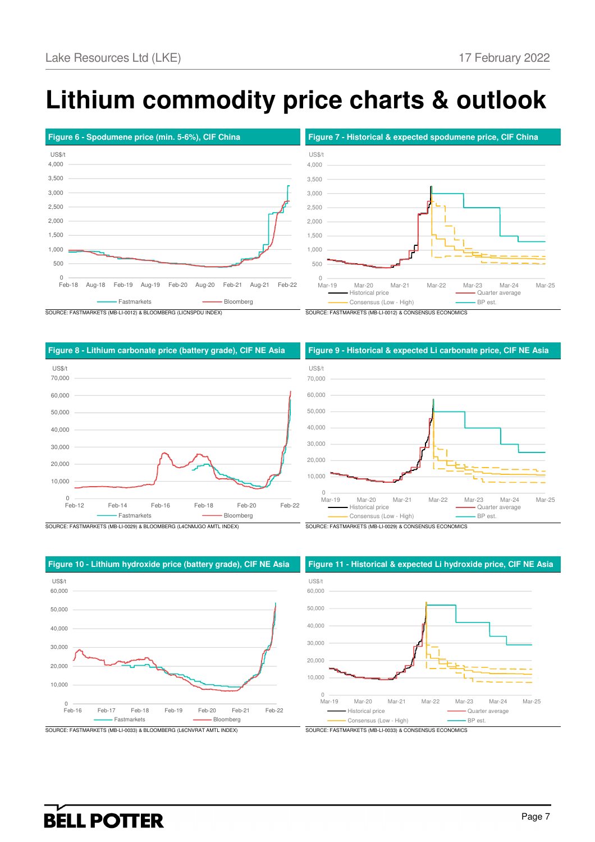# **Lithium commodity price charts & outlook**







SOURCE: FASTMARKETS (MB-LI-0029) & BLOOMBERG (L4CNMJGO AMTL INDEX) SOURCE: FASTMARKETS (MB-LI-0029) & CONSENSUS ECONOMICS

 $0$ <br>Feb-16 10,000 20,000 30,000 40,000 50,000 60,000 Feb-16 Feb-17 Feb-18 Feb-19 Feb-20 Feb-21 Feb-22 US\$/t - Fastmarkets **Bloomberg** Bloomberg

### **Figure 8 - Lithium carbonate price (battery grade), CIF NE Asia Figure 9 - Historical & expected Li carbonate price, CIF NE Asia**





### **Figure 10 - Lithium hydroxide price (battery grade), CIF NE Asia Figure 11 - Historical & expected Li hydroxide price, CIF NE Asia**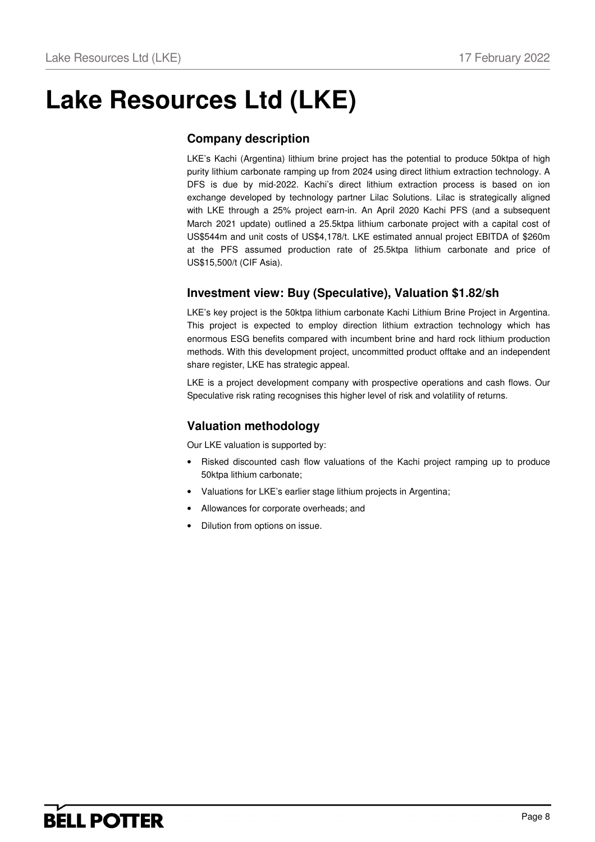# **Lake Resources Ltd (LKE)**

## **Company description**

LKE's Kachi (Argentina) lithium brine project has the potential to produce 50ktpa of high purity lithium carbonate ramping up from 2024 using direct lithium extraction technology. A DFS is due by mid-2022. Kachi's direct lithium extraction process is based on ion exchange developed by technology partner Lilac Solutions. Lilac is strategically aligned with LKE through a 25% project earn-in. An April 2020 Kachi PFS (and a subsequent March 2021 update) outlined a 25.5ktpa lithium carbonate project with a capital cost of US\$544m and unit costs of US\$4,178/t. LKE estimated annual project EBITDA of \$260m at the PFS assumed production rate of 25.5ktpa lithium carbonate and price of US\$15,500/t (CIF Asia).

## **Investment view: Buy (Speculative), Valuation \$1.82/sh**

LKE's key project is the 50ktpa lithium carbonate Kachi Lithium Brine Project in Argentina. This project is expected to employ direction lithium extraction technology which has enormous ESG benefits compared with incumbent brine and hard rock lithium production methods. With this development project, uncommitted product offtake and an independent share register, LKE has strategic appeal.

LKE is a project development company with prospective operations and cash flows. Our Speculative risk rating recognises this higher level of risk and volatility of returns.

## **Valuation methodology**

Our LKE valuation is supported by:

- Risked discounted cash flow valuations of the Kachi project ramping up to produce 50ktpa lithium carbonate;
- Valuations for LKE's earlier stage lithium projects in Argentina;
- Allowances for corporate overheads; and
- Dilution from options on issue.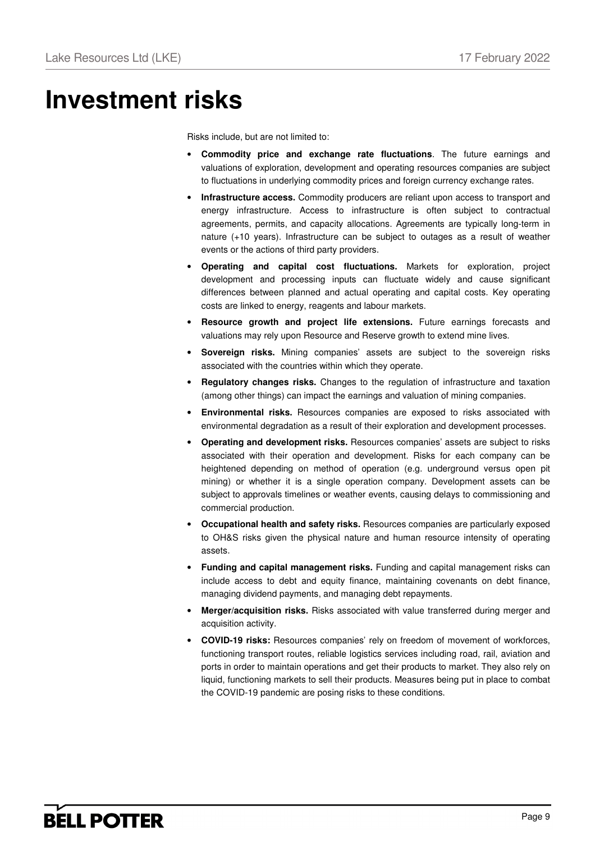# **Investment risks**

Risks include, but are not limited to:

- **Commodity price and exchange rate fluctuations**. The future earnings and valuations of exploration, development and operating resources companies are subject to fluctuations in underlying commodity prices and foreign currency exchange rates.
- **Infrastructure access.** Commodity producers are reliant upon access to transport and energy infrastructure. Access to infrastructure is often subject to contractual agreements, permits, and capacity allocations. Agreements are typically long-term in nature (+10 years). Infrastructure can be subject to outages as a result of weather events or the actions of third party providers.
- **Operating and capital cost fluctuations.** Markets for exploration, project development and processing inputs can fluctuate widely and cause significant differences between planned and actual operating and capital costs. Key operating costs are linked to energy, reagents and labour markets.
- **Resource growth and project life extensions.** Future earnings forecasts and valuations may rely upon Resource and Reserve growth to extend mine lives.
- **Sovereign risks.** Mining companies' assets are subject to the sovereign risks associated with the countries within which they operate.
- **Regulatory changes risks.** Changes to the regulation of infrastructure and taxation (among other things) can impact the earnings and valuation of mining companies.
- **Environmental risks.** Resources companies are exposed to risks associated with environmental degradation as a result of their exploration and development processes.
- **Operating and development risks.** Resources companies' assets are subject to risks associated with their operation and development. Risks for each company can be heightened depending on method of operation (e.g. underground versus open pit mining) or whether it is a single operation company. Development assets can be subject to approvals timelines or weather events, causing delays to commissioning and commercial production.
- **Occupational health and safety risks.** Resources companies are particularly exposed to OH&S risks given the physical nature and human resource intensity of operating assets.
- **Funding and capital management risks.** Funding and capital management risks can include access to debt and equity finance, maintaining covenants on debt finance, managing dividend payments, and managing debt repayments.
- **Merger/acquisition risks.** Risks associated with value transferred during merger and acquisition activity.
- **COVID-19 risks:** Resources companies' rely on freedom of movement of workforces, functioning transport routes, reliable logistics services including road, rail, aviation and ports in order to maintain operations and get their products to market. They also rely on liquid, functioning markets to sell their products. Measures being put in place to combat the COVID-19 pandemic are posing risks to these conditions.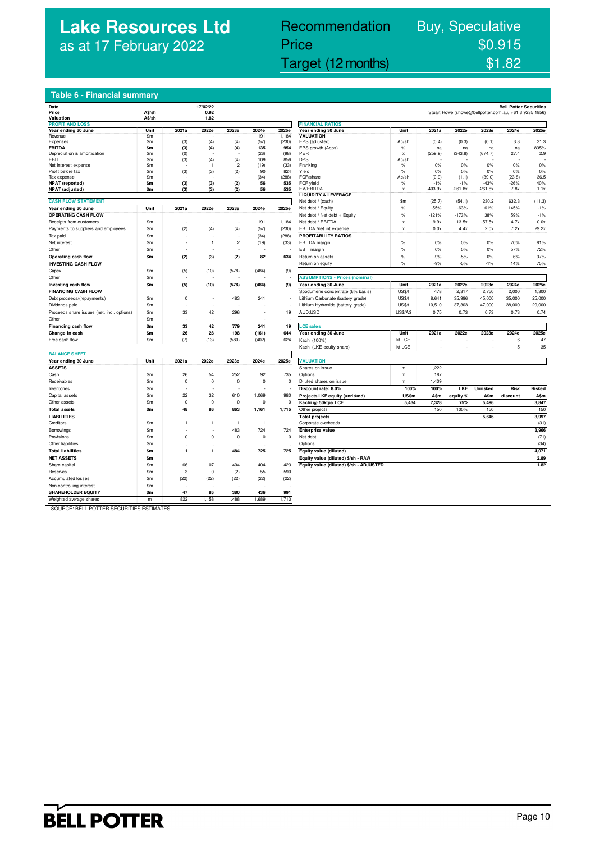## **Lake Resources Ltd** as at 17 February 2022

# Recommendation Buy, Speculative Price \$0.915<br>Target (12 months) \$1.82

## Lake Resources Ltd (Lake Resources Ltd (12 months) \$1.82

**Bell Potter Securities**<br>Stuart Howe (showe@bellpotter.com.au. +61.3.9235.1856)

## **Table 6 - Financial summary**

| Date                                       |               |              | 17/02/22       |                |              |                |                                                      |                 |           |           |           | <b>Bell Potter Securities</b>                          |            |
|--------------------------------------------|---------------|--------------|----------------|----------------|--------------|----------------|------------------------------------------------------|-----------------|-----------|-----------|-----------|--------------------------------------------------------|------------|
| Price                                      | A\$/sh        |              | 0.92           |                |              |                |                                                      |                 |           |           |           | Stuart Howe (showe@bellpotter.com.au, +61 3 9235 1856) |            |
| Valuation                                  | A\$/sh        |              | 1.82           |                |              |                |                                                      |                 |           |           |           |                                                        |            |
| <b>PROFIT AND LOSS</b>                     |               |              |                |                |              |                | <b>FINANCIAL RATIOS</b>                              |                 |           |           | 2023e     | 2024e                                                  | 2025e      |
| Year ending 30 June<br>Revenue             | Unit<br>\$m   | 2021a        | 2022e          | 2023e          | 2024e<br>191 | 2025e<br>1.184 | Year ending 30 June<br><b>VALUATION</b>              | Unit            | 2021a     | 2022e     |           |                                                        |            |
| Expenses                                   | \$m           | (3)          | (4)            | (4)            | (57)         | (230)          | EPS (adjusted)                                       | Ac/sh           | (0.4)     | (0.3)     | (0.1)     | 3.3                                                    | 31.3       |
| <b>EBITDA</b>                              | \$m           | (3)          | (4)            | (4)            | 135          | 954            | EPS growth (Acps)                                    | %               | na        | na        | na        | na                                                     | 835%       |
| Depreciation & amortisation                | \$m           | (0)          |                |                | (26)         | (98)           | PER                                                  | x               | (259.9)   | (343.8)   | (674.7)   | 27.4                                                   | 2.9        |
| EBIT                                       | \$m           | (3)          | (4)            | (4)            | 109          | 856            | <b>DPS</b>                                           | Ac/sh           |           |           |           |                                                        |            |
| Net interest expense                       | \$m           |              | $\overline{1}$ | $\overline{c}$ | (19)         | (33)           | Franking                                             | $\%$            | 0%        | 0%        | 0%        | 0%                                                     | 0%         |
| Profit before tax                          | \$m           | (3)          | (3)            | (2)            | 90           | 824            | Yield                                                | %               | 0%        | 0%        | 0%        | 0%                                                     | 0%         |
| Tax expense                                | $\mathsf{sm}$ |              |                |                | (34)         | (288)          | FCF/share                                            | Ac/sh           | (0.9)     | (1.1)     | (39.0)    | (23.8)                                                 | 36.5       |
| NPAT (reported)                            | \$m           | (3)          | (3)            | (2)            | 56           | 535            | FCF yield                                            | %               | $-1%$     | $-1%$     | $-43%$    | $-26%$                                                 | 40%        |
| NPAT (adjusted)                            | \$m           | (3)          | (3)            | (2)            | 56           | 535            | EV/EBITDA                                            | x               | $-403.9x$ | $-261.8x$ | $-261.8x$ | 7.8x                                                   | 1.1x       |
|                                            |               |              |                |                |              |                | <b>LIQUIDITY &amp; LEVERAGE</b><br>Net debt / (cash) | \$m             |           | (54.1)    | 230.2     | 632.3                                                  | (11.3)     |
| <b>CASH FLOW STATEMENT</b>                 |               |              |                |                |              |                |                                                      |                 | (25.7)    |           |           |                                                        |            |
| Year ending 30 June                        | Unit          | 2021a        | 2022e          | 2023e          | 2024e        | 2025e          | Net debt / Equity                                    | $\%$            | $-55%$    | $-63%$    | 61%       | 145%                                                   | $-1%$      |
| <b>OPERATING CASH FLOW</b>                 |               |              |                |                |              |                | Net debt / Net debt + Equity                         | $\%$            | $-121%$   | $-173%$   | 38%       | 59%                                                    | $-1%$      |
| Receipts from customers                    | \$m\$         |              |                |                | 191          | 1,184          | Net debt / EBITDA                                    | X               | 9.9x      | 13.5x     | $-57.5x$  | 4.7x                                                   | 0.0x       |
| Payments to suppliers and employees        | \$m\$         | (2)          | (4)            | (4)            | (57)         | (230)          | EBITDA /net int expense                              | X               | 0.0x      | 4.4x      | 2.0x      | 7.2x                                                   | 29.2x      |
| Tax paid                                   | \$m           |              |                | ł,             | (34)         | (288)          | PROFITABILITY RATIOS                                 |                 |           |           |           |                                                        |            |
| Net interest                               | \$m\$         |              | $\overline{1}$ | $\overline{c}$ | (19)         | (33)           | EBITDA margin                                        | $\%$            | 0%        | 0%        | 0%        | 70%                                                    | 81%        |
| Other                                      | \$m           |              |                |                |              |                | EBIT margin                                          | $\%$            | 0%        | 0%        | 0%        | 57%                                                    | <b>72%</b> |
| Operating cash flow                        | \$m           | (2)          | (3)            | (2)            | 82           | 634            | Return on assets                                     | %               | $-9%$     | $-5%$     | 0%        | 6%                                                     | 37%        |
| <b>INVESTING CASH FLOW</b>                 |               |              |                |                |              |                | Return on equity                                     | %               | $-9%$     | $-5%$     | $-1%$     | 14%                                                    | 75%        |
| Capex                                      | \$m           | (5)          | (10)           | (578)          | (484)        | (9)            |                                                      |                 |           |           |           |                                                        |            |
| Other                                      | \$m           |              |                |                |              |                | <b>ASSUMPTIONS - Prices (nominal)</b>                |                 |           |           |           |                                                        |            |
|                                            |               |              |                |                |              |                |                                                      | Unit            | 2021a     | 2022e     | 2023e     | 2024e                                                  | 2025e      |
| Investing cash flow                        | \$m           | (5)          | (10)           | (578)          | (484)        | (9)            | Year ending 30 June                                  |                 | 478       |           |           |                                                        |            |
| <b>FINANCING CASH FLOW</b>                 |               |              |                |                |              |                | Spodumene concentrate (6% basis)                     | US\$/t          |           | 2,317     | 2,750     | 2,000                                                  | 1,300      |
| Debt proceeds/(repayments)                 | \$m\$         | $\Omega$     |                | 483            | 241          |                | Lithium Carbonate (battery grade)                    | US\$/t          | 8,641     | 35,996    | 45,000    | 35,000                                                 | 25,000     |
| Dividends paid                             | \$m           |              | ٠              |                |              | ä,             | Lithium Hydroxide (battery grade)                    | US\$/t          | 10,510    | 37,303    | 47,000    | 38,000                                                 | 29,000     |
| Proceeds share issues (net, incl. options) | \$m           | 33           | 42             | 296            | ٠            | 19             | AUD:USD                                              | <b>US\$/A\$</b> | 0.75      | 0.73      | 0.73      | 0.73                                                   | 0.74       |
| Other                                      | \$m           |              |                |                |              |                |                                                      |                 |           |           |           |                                                        |            |
| Financing cash flow                        | \$m           | 33           | 42             | 779            | 241          | 19             | <b>LCE sales</b>                                     |                 |           |           |           |                                                        |            |
| Change in cash                             | \$m           | 26           | 28             | 198            | (161)        | 644            | Year ending 30 June                                  | Unit            | 2021a     | 2022e     | 2023e     | 2024e                                                  | 2025e      |
| Free cash flow                             | \$m           | (7)          | (13)           | (580)          | (402)        | 624            | Kachi (100%)                                         | kt LCE          |           |           |           | 6                                                      | 47         |
|                                            |               |              |                |                |              |                | Kachi (LKE equity share)                             | kt LCE          |           |           |           | 5                                                      | 35         |
| <b>BALANCE SHEET</b>                       |               |              |                |                |              |                |                                                      |                 |           |           |           |                                                        |            |
| Year ending 30 June                        | Unit          | 2021a        | 2022e          | 2023e          | 2024e        | 2025e          | <b>VALUATION</b>                                     |                 |           |           |           |                                                        |            |
| <b>ASSETS</b>                              |               |              |                |                |              |                | Shares on issue                                      | m               | 1,222     |           |           |                                                        |            |
| Cash                                       | \$m           | 26           | 54             | 252            | 92           | 735            | Options                                              | m               | 187       |           |           |                                                        |            |
| Receivables                                | \$m           | $\mathbf 0$  | $\mathbf 0$    | $\mathbf 0$    | $\mathbf 0$  | $\mathbf 0$    | Diluted shares on issue                              | m               | 1,409     |           |           |                                                        |            |
|                                            | \$m           |              |                |                |              |                |                                                      |                 |           |           |           |                                                        |            |
| Inventories                                |               |              |                |                |              |                | Discount rate: 8.0%                                  | 100%            | 100%      | LKE       | Unrisked  | Risk                                                   | Risked     |
| Capital assets                             | \$m           | 22           | 32             | 610            | 1,069        | 980            | Projects LKE equity (unrisked)                       | US\$m           | A\$m      | equity %  | A\$m      | discount                                               | A\$m       |
| Other assets                               | \$m           | $\mathbf 0$  | $\mathbf 0$    | $\mathbf 0$    | $\mathbf 0$  | $\mathbf 0$    | Kachi @ 50ktpa LCE                                   | 5,434           | 7,328     | 75%       | 5,496     |                                                        | 3,847      |
| <b>Total assets</b>                        | \$m           | 48           | 86             | 863            | 1,161        | 1,715          | Other projects                                       |                 | 150       | 100%      | 150       |                                                        | 150        |
| <b>LIABILITIES</b>                         |               |              |                |                |              |                | <b>Total projects</b>                                |                 |           |           | 5,646     |                                                        | 3,997      |
| Creditors                                  | \$m           | 1            | -1             | $\overline{1}$ | $\mathbf{1}$ | $\overline{1}$ | Corporate overheads                                  |                 |           |           |           |                                                        | (31)       |
| Borrowings                                 | \$m\$         |              |                | 483            | 724          | 724            | Enterprise value                                     |                 |           |           |           |                                                        | 3,966      |
| Provisions                                 | \$m           | $\mathbf 0$  | 0              | $\mathbf 0$    | $\mathbf 0$  | $\mathbf 0$    | Net debt                                             |                 |           |           |           |                                                        | (71)       |
| Other liabilities                          | \$m           |              |                |                |              |                | Options                                              |                 |           |           |           |                                                        | (34)       |
| <b>Total liabilities</b>                   | \$m           | $\mathbf{1}$ | $\mathbf{1}$   | 484            | 725          | 725            | Equity value (diluted)                               |                 |           |           |           |                                                        | 4,071      |
| <b>NET ASSETS</b>                          | \$m           |              |                |                |              |                | Equity value (diluted) \$/sh - RAW                   |                 |           |           |           |                                                        | 2.89       |
| Share capital                              | \$m           | 66           | 107            | 404            | 404          | 423            | Equity value (diluted) \$/sh - ADJUSTED              |                 |           |           |           |                                                        | 1.82       |
|                                            |               | 3            | $\mathbf 0$    |                | 55           | 590            |                                                      |                 |           |           |           |                                                        |            |
| Reserves                                   | \$m           |              |                | (2)            |              |                |                                                      |                 |           |           |           |                                                        |            |
| <b>Accumulated losses</b>                  | $\mathsf{sm}$ | (22)         | (22)           | (22)           | (22)         | (22)           |                                                      |                 |           |           |           |                                                        |            |
| Non-controlling interest                   | $\mathsf{Sm}$ |              |                |                |              |                |                                                      |                 |           |           |           |                                                        |            |
| <b>SHAREHOLDER EQUITY</b>                  | \$m           | 47           | 85             | 380            | 436          | 991            |                                                      |                 |           |           |           |                                                        |            |
| Weighted average shares                    | m             | 822          | 1,158          | 1,488          | 1,689        | 1,713          |                                                      |                 |           |           |           |                                                        |            |

| <b>FINANCIAL RATIOS</b>                 |                 |               |               |               |            |             |
|-----------------------------------------|-----------------|---------------|---------------|---------------|------------|-------------|
| Year ending 30 June                     | Unit            | 2021a         | 2022e         | 2023e         | 2024e      | 2025e       |
| VALUATION                               |                 |               |               |               |            |             |
| EPS (adjusted)                          | Ac/sh           | (0.4)         | (0.3)         | (0.1)         | 3.3        | 31.3        |
| EPS growth (Acps)<br>PER                | %<br>X          | na<br>(259.9) | na<br>(343.8) | na<br>(674.7) | na<br>27.4 | 835%<br>2.9 |
| <b>DPS</b>                              | Ac/sh           |               |               |               |            |             |
| Franking                                | %               | 0%            | 0%            | 0%            | 0%         | 0%          |
| Yield                                   | %               | 0%            | 0%            | 0%            | 0%         | 0%          |
| FCF/share                               | Ac/sh           | (0.9)         | (1.1)         | (39.0)        | (23.8)     | 36.5        |
| FCF yield                               | %               | $-1%$         | $-1%$         | $-43%$        | $-26%$     | 40%         |
| EV/EBITDA                               | x               | $-403.9x$     | $-261.8x$     | $-261.8x$     | 7.8x       | 1.1x        |
| <b>LIQUIDITY &amp; LEVERAGE</b>         |                 |               |               |               |            |             |
| Net debt / (cash)                       | \$m             | (25.7)        | (54.1)        | 230.2         | 632.3      | (11.3)      |
| Net debt / Equity                       | %               | $-55%$        | $-63%$        | 61%           | 145%       | $-1%$       |
| Net debt / Net debt + Equity            | %               | $-121%$       | $-173%$       | 38%           | 59%        | $-1%$       |
| Net debt / EBITDA                       | x               | 9.9x          | 13.5x         | $-57.5x$      | 4.7x       | 0.0x        |
| EBITDA /net int expense                 | x               | 0.0x          | 4.4x          | 2.0x          | 7.2x       | 29.2x       |
| <b>PROFITABILITY RATIOS</b>             |                 |               |               |               |            |             |
| EBITDA margin                           | $\%$            | 0%            | 0%            | 0%            | 70%        | 81%         |
| EBIT margin                             | %               | 0%            | 0%            | 0%            | 57%        | 72%         |
| Return on assets                        | %               | $-9%$         | $-5%$         | 0%            | 6%         | 37%         |
| Return on equity                        | %               | $-9%$         | $-5%$         | $-1%$         | 14%        | 75%         |
|                                         |                 |               |               |               |            |             |
| <b>ASSUMPTIONS - Prices (nominal)</b>   |                 |               |               |               |            |             |
| Year ending 30 June                     | Unit            | 2021a         | 2022e         | 2023e         | 2024e      | 2025e       |
|                                         | US\$/t          | 478           | 2,317         | 2,750         | 2,000      | 1,300       |
| Spodumene concentrate (6% basis)        |                 |               |               |               |            |             |
| Lithium Carbonate (battery grade)       | US\$/t          | 8,641         | 35,996        | 45,000        | 35,000     | 25,000      |
| Lithium Hydroxide (battery grade)       | US\$/t          | 10,510        | 37,303        | 47,000        | 38,000     | 29,000      |
| AUD:USD                                 | <b>US\$/A\$</b> | 0.75          | 0.73          | 0.73          | 0.73       | 0.74        |
|                                         |                 |               |               |               |            |             |
| <b>LCE</b> sales                        |                 |               |               |               |            |             |
| Year ending 30 June                     | Unit            | 2021a         | 2022e         | 2023e         | 2024e      | 2025e       |
| Kachi (100%)                            | kt LCE          |               |               |               | 6          | 47          |
| Kachi (LKE equity share)                | kt LCE          | ä,            | ä,            | ×,            | 5          | 35          |
|                                         |                 |               |               |               |            |             |
| <b>VALUATION</b>                        |                 |               |               |               |            |             |
| Shares on issue                         | m               | 1,222         |               |               |            |             |
| Options                                 | m               | 187           |               |               |            |             |
| Diluted shares on issue                 | m               | 1,409         |               |               |            |             |
| Discount rate: 8.0%                     | 100%            | 100%          | LKE           | Unrisked      | Risk       | Risked      |
| Projects LKE equity (unrisked)          | US\$m           | A\$m          | equity %      | A\$m          | discount   | A\$m        |
| Kachi @ 50ktpa LCE                      | 5,434           | 7,328         | 75%           | 5,496         |            | 3,847       |
| Other projects                          |                 | 150           | 100%          | 150           |            | 150         |
| <b>Total projects</b>                   |                 |               |               | 5,646         |            | 3,997       |
| Corporate overheads                     |                 |               |               |               |            | (31)        |
|                                         |                 |               |               |               |            | 3,966       |
| Enterprise value<br>Net debt            |                 |               |               |               |            |             |
|                                         |                 |               |               |               |            | (71)        |
| Options                                 |                 |               |               |               |            | (34)        |
| Equity value (diluted)                  |                 |               |               |               |            | 4,071       |
| Equity value (diluted) \$/sh - RAW      |                 |               |               |               |            | 2.89        |
| Equity value (diluted) \$/sh - ADJUSTED |                 |               |               |               |            | 1.82        |

SOURCE: BELL POTTER SECURITIES ESTIMATES